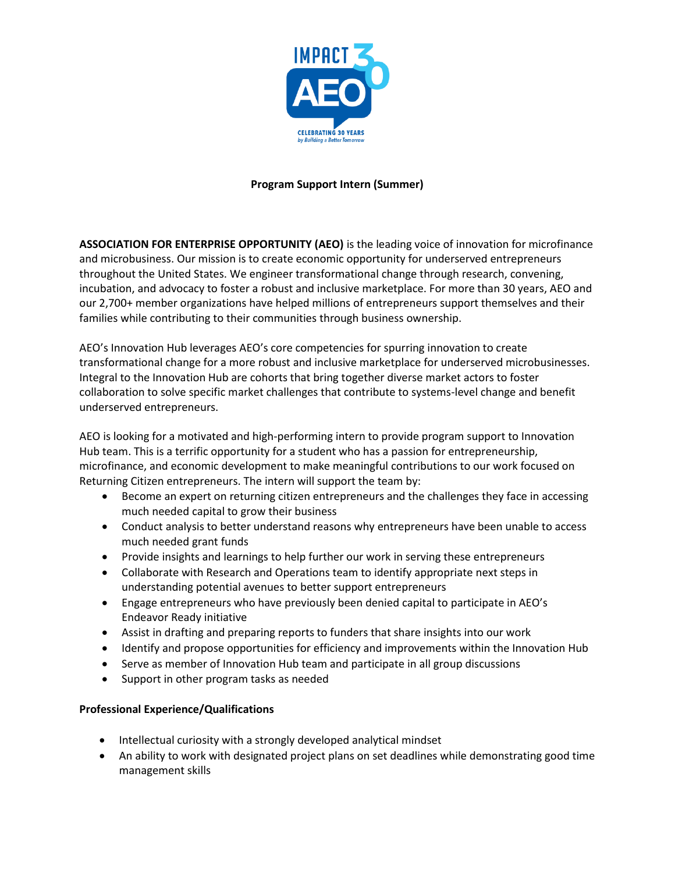

## **Program Support Intern (Summer)**

**ASSOCIATION FOR ENTERPRISE OPPORTUNITY (AEO)** is the leading voice of innovation for microfinance and microbusiness. Our mission is to create economic opportunity for underserved entrepreneurs throughout the United States. We engineer transformational change through research, convening, incubation, and advocacy to foster a robust and inclusive marketplace. For more than 30 years, AEO and our 2,700+ member organizations have helped millions of entrepreneurs support themselves and their families while contributing to their communities through business ownership.

AEO's Innovation Hub leverages AEO's core competencies for spurring innovation to create transformational change for a more robust and inclusive marketplace for underserved microbusinesses. Integral to the Innovation Hub are cohorts that bring together diverse market actors to foster collaboration to solve specific market challenges that contribute to systems-level change and benefit underserved entrepreneurs.

AEO is looking for a motivated and high-performing intern to provide program support to Innovation Hub team. This is a terrific opportunity for a student who has a passion for entrepreneurship, microfinance, and economic development to make meaningful contributions to our work focused on Returning Citizen entrepreneurs. The intern will support the team by:

- Become an expert on returning citizen entrepreneurs and the challenges they face in accessing much needed capital to grow their business
- Conduct analysis to better understand reasons why entrepreneurs have been unable to access much needed grant funds
- Provide insights and learnings to help further our work in serving these entrepreneurs
- Collaborate with Research and Operations team to identify appropriate next steps in understanding potential avenues to better support entrepreneurs
- Engage entrepreneurs who have previously been denied capital to participate in AEO's Endeavor Ready initiative
- Assist in drafting and preparing reports to funders that share insights into our work
- Identify and propose opportunities for efficiency and improvements within the Innovation Hub
- Serve as member of Innovation Hub team and participate in all group discussions
- Support in other program tasks as needed

## **Professional Experience/Qualifications**

- Intellectual curiosity with a strongly developed analytical mindset
- An ability to work with designated project plans on set deadlines while demonstrating good time management skills